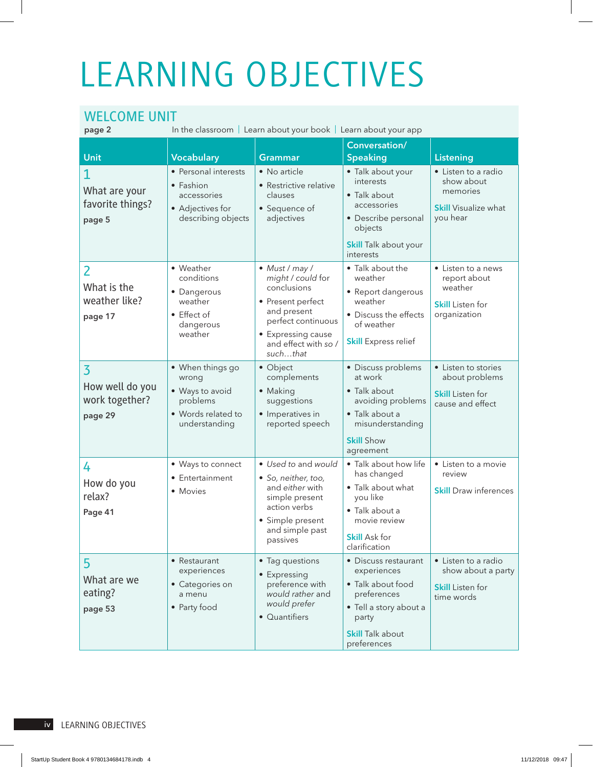## LEARNING OBJECTIVES

## WELCOME UNIT

In the classroom | Learn about your book | Learn about your app

|                                                                |                                                                                                 |                                                                                                                                                                        | Conversation/                                                                                                                                        |                                                                                          |
|----------------------------------------------------------------|-------------------------------------------------------------------------------------------------|------------------------------------------------------------------------------------------------------------------------------------------------------------------------|------------------------------------------------------------------------------------------------------------------------------------------------------|------------------------------------------------------------------------------------------|
| Unit                                                           | <b>Vocabulary</b>                                                                               | Grammar                                                                                                                                                                | <b>Speaking</b>                                                                                                                                      | <b>Listening</b>                                                                         |
| What are your<br>favorite things?<br>page 5                    | • Personal interests<br>• Fashion<br>accessories<br>• Adjectives for<br>describing objects      | • No article<br>• Restrictive relative<br>clauses<br>• Sequence of<br>adjectives                                                                                       | · Talk about your<br>interests<br>• Talk about<br>accessories<br>• Describe personal<br>objects<br><b>Skill</b> Talk about your<br>interests         | • Listen to a radio<br>show about<br>memories<br><b>Skill Visualize what</b><br>vou hear |
| $\overline{2}$<br>What is the<br>weather like?<br>page 17      | • Weather<br>conditions<br>• Dangerous<br>weather<br>• Effect of<br>dangerous<br>weather        | • Must / may /<br>might / could for<br>conclusions<br>• Present perfect<br>and present<br>perfect continuous<br>• Expressing cause<br>and effect with so /<br>suchthat | • Talk about the<br>weather<br>• Report dangerous<br>weather<br>• Discuss the effects<br>of weather<br><b>Skill Express relief</b>                   | • Listen to a news<br>report about<br>weather<br><b>Skill</b> Listen for<br>organization |
| $\overline{3}$<br>How well do you<br>work together?<br>page 29 | · When things go<br>wrong<br>• Ways to avoid<br>problems<br>• Words related to<br>understanding | • Object<br>complements<br>• Making<br>suggestions<br>• Imperatives in<br>reported speech                                                                              | • Discuss problems<br>at work<br>• Talk about<br>avoiding problems<br>• Talk about a<br>misunderstanding<br><b>Skill Show</b><br>agreement           | • Listen to stories<br>about problems<br><b>Skill</b> Listen for<br>cause and effect     |
| 4<br>How do you<br>relax?<br>Page 41                           | • Ways to connect<br>• Entertainment<br>• Movies                                                | • Used to and would<br>· So, neither, too,<br>and either with<br>simple present<br>action verbs<br>• Simple present<br>and simple past<br>passives                     | • Talk about how life<br>has changed<br>• Talk about what<br>you like<br>• Talk about a<br>movie review<br><b>Skill Ask for</b><br>clarification     | • Listen to a movie<br>review<br><b>Skill Draw inferences</b>                            |
| 5 <sup>1</sup><br>What are we<br>eating?<br>page 53            | • Restaurant<br>experiences<br>• Categories on<br>a menu<br>• Party food                        | • Tag questions<br>• Expressing<br>preference with<br>would rather and<br>would prefer<br>• Quantifiers                                                                | • Discuss restaurant<br>experiences<br>• Talk about food<br>preferences<br>• Tell a story about a<br>party<br><b>Skill Talk about</b><br>preferences | • Listen to a radio<br>show about a party<br><b>Skill</b> Listen for<br>time words       |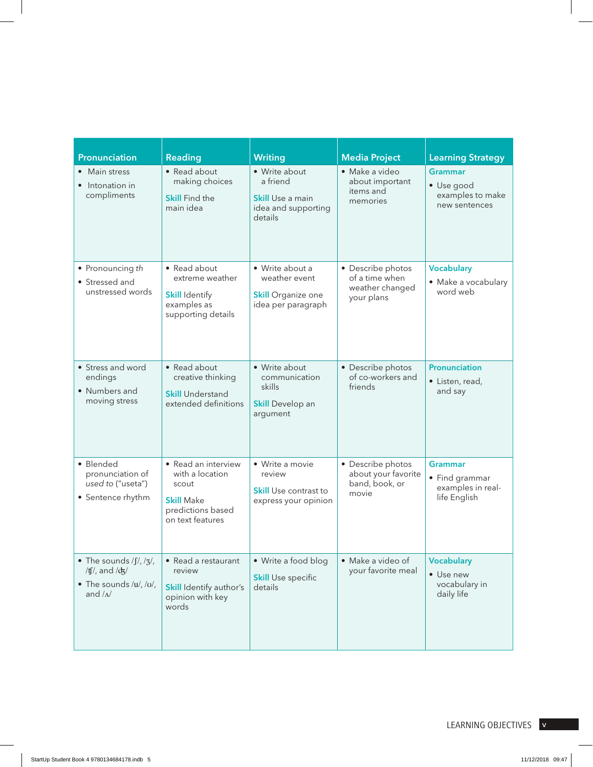| Pronunciation                                                                                                                        | <b>Reading</b>                                                                                                | <b>Writing</b>                                                                         | <b>Media Project</b>                                                 | <b>Learning Strategy</b>                                              |
|--------------------------------------------------------------------------------------------------------------------------------------|---------------------------------------------------------------------------------------------------------------|----------------------------------------------------------------------------------------|----------------------------------------------------------------------|-----------------------------------------------------------------------|
| • Main stress<br>• Intonation in<br>compliments                                                                                      | • Read about<br>making choices<br><b>Skill Find the</b><br>main idea                                          | • Write about<br>a friend<br><b>Skill Use a main</b><br>idea and supporting<br>details | · Make a video<br>about important<br>items and<br>memories           | <b>Grammar</b><br>• Use good<br>examples to make<br>new sentences     |
| • Pronouncing th<br>• Stressed and<br>unstressed words                                                                               | • Read about<br>extreme weather<br><b>Skill Identify</b><br>examples as<br>supporting details                 | • Write about a<br>weather event<br><b>Skill Organize one</b><br>idea per paragraph    | • Describe photos<br>of a time when<br>weather changed<br>your plans | <b>Vocabulary</b><br>· Make a vocabulary<br>word web                  |
| • Stress and word<br>endings<br>• Numbers and<br>moving stress                                                                       | • Read about<br>creative thinking<br><b>Skill Understand</b><br>extended definitions                          | • Write about<br>communication<br>skills<br><b>Skill Develop an</b><br>argument        | • Describe photos<br>of co-workers and<br>friends                    | <b>Pronunciation</b><br>· Listen, read,<br>and say                    |
| · Blended<br>pronunciation of<br>used to ("useta")<br>• Sentence rhythm                                                              | • Read an interview<br>with a location<br>scout<br><b>Skill Make</b><br>predictions based<br>on text features | • Write a movie<br>review<br><b>Skill</b> Use contrast to<br>express your opinion      | • Describe photos<br>about your favorite<br>band, book, or<br>movie  | <b>Grammar</b><br>• Find grammar<br>examples in real-<br>life English |
| $\bullet$ The sounds / $\int$ /, / $\frac{7}{3}$ /<br>/tf/, and $\frac{dy}{dx}$<br>$\bullet$ The sounds /u/, /u/,<br>and $/\Lambda/$ | • Read a restaurant<br>review<br>Skill Identify author's<br>opinion with key<br>words                         | • Write a food blog<br><b>Skill Use specific</b><br>details                            | • Make a video of<br>your favorite meal                              | <b>Vocabulary</b><br>• Use new<br>vocabulary in<br>daily life         |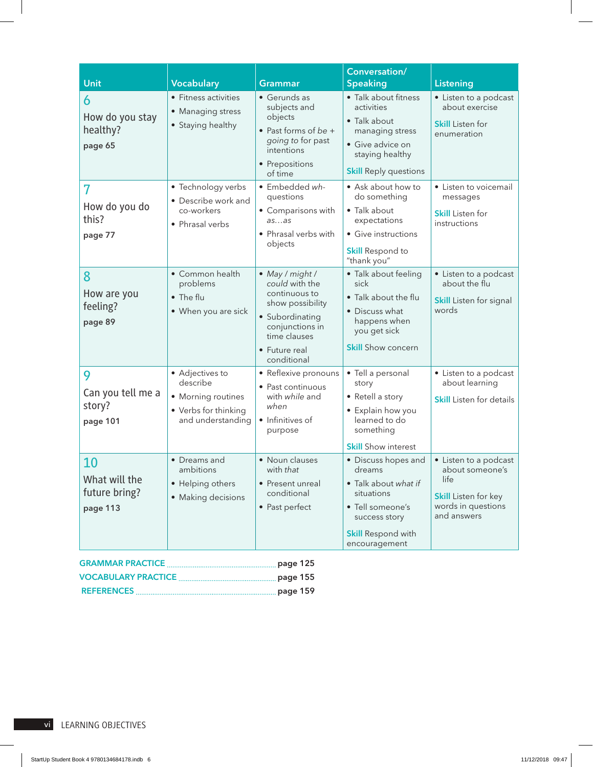|                                                  |                                                                                                |                                                                                                                                                              | Conversation/                                                                                                                                          |                                                                                                                      |
|--------------------------------------------------|------------------------------------------------------------------------------------------------|--------------------------------------------------------------------------------------------------------------------------------------------------------------|--------------------------------------------------------------------------------------------------------------------------------------------------------|----------------------------------------------------------------------------------------------------------------------|
| Unit                                             | <b>Vocabulary</b>                                                                              | <b>Grammar</b>                                                                                                                                               | <b>Speaking</b>                                                                                                                                        | <b>Listening</b>                                                                                                     |
| 6<br>How do you stay<br>healthy?<br>page 65      | • Fitness activities<br>• Managing stress<br>• Staying healthy                                 | • Gerunds as<br>subjects and<br>objects<br>$\bullet$ Past forms of be +<br>going to for past<br>intentions<br>• Prepositions<br>of time                      | • Talk about fitness<br>activities<br>• Talk about<br>managing stress<br>· Give advice on<br>staying healthy<br><b>Skill Reply questions</b>           | • Listen to a podcast<br>about exercise<br><b>Skill</b> Listen for<br>enumeration                                    |
| 7<br>How do you do<br>this?<br>page 77           | • Technology verbs<br>• Describe work and<br>co-workers<br>• Phrasal verbs                     | · Embedded wh-<br>questions<br>• Comparisons with<br>asas<br>• Phrasal verbs with<br>objects                                                                 | • Ask about how to<br>do something<br>• Talk about<br>expectations<br>• Give instructions<br><b>Skill Respond to</b><br>"thank you"                    | • Listen to voicemail<br>messages<br><b>Skill</b> Listen for<br>instructions                                         |
| 8<br>How are you<br>feeling?<br>page 89          | • Common health<br>problems<br>• The flu<br>• When you are sick                                | • May / might /<br>could with the<br>continuous to<br>show possibility<br>· Subordinating<br>conjunctions in<br>time clauses<br>• Future real<br>conditional | • Talk about feeling<br>sick<br>· Talk about the flu<br>• Discuss what<br>happens when<br>you get sick<br><b>Skill</b> Show concern                    | • Listen to a podcast<br>about the flu<br><b>Skill</b> Listen for signal<br>words                                    |
| 9<br>Can you tell me a<br>story?<br>page 101     | • Adjectives to<br>describe<br>• Morning routines<br>• Verbs for thinking<br>and understanding | • Reflexive pronouns<br>• Past continuous<br>with while and<br>when<br>• Infinitives of<br>purpose                                                           | · Tell a personal<br>story<br>• Retell a story<br>• Explain how you<br>learned to do<br>something<br><b>Skill</b> Show interest                        | • Listen to a podcast<br>about learning<br><b>Skill</b> Listen for details                                           |
| 10<br>What will the<br>future bring?<br>page 113 | • Dreams and<br>ambitions<br>• Helping others<br>• Making decisions                            | • Noun clauses<br>with that<br>• Present unreal<br>conditional<br>• Past perfect                                                                             | • Discuss hopes and<br>dreams<br>• Talk about what if<br>situations<br>• Tell someone's<br>success story<br><b>Skill Respond with</b><br>encouragement | • Listen to a podcast<br>about someone's<br>life<br><b>Skill</b> Listen for key<br>words in questions<br>and answers |